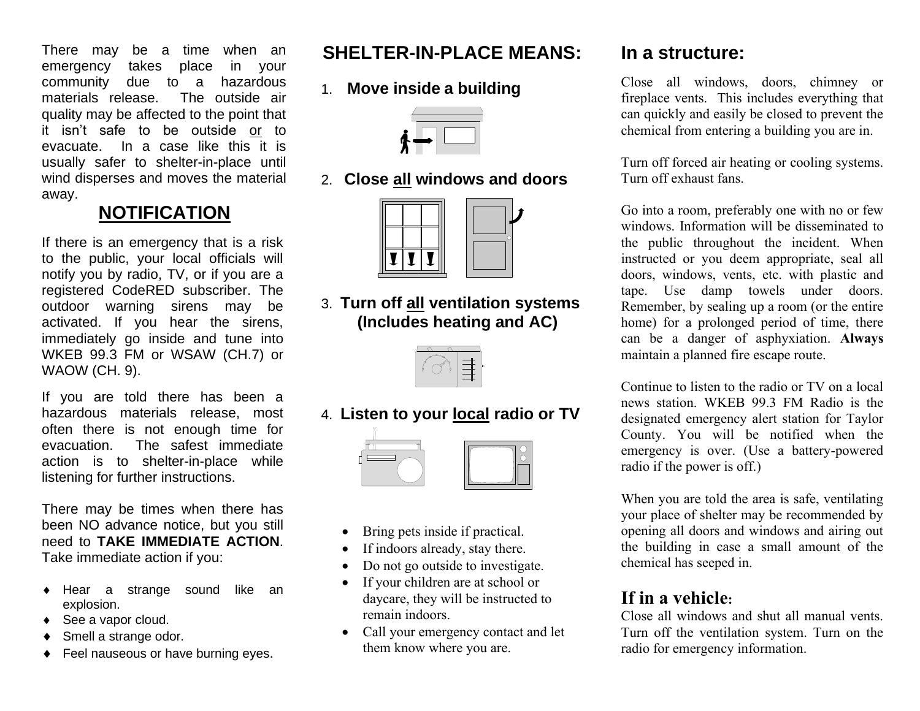There may be a time when an emergency takes place in your community due to a hazardous materials release. The outside air quality may be affected to the point that it isn't safe to be outside or to evacuate. In a case like this it is usually safer to shelter-in-place until wind disperses and moves the material away.

# **NOTIFICATION**

If there is an emergency that is a risk to the public, your local officials will notify you by radio, TV, or if you are a registered CodeRED subscriber. The outdoor warning sirens may be activated. If you hear the sirens, immediately go inside and tune into WKEB 99.3 FM or WSAW (CH.7) or WAOW (CH. 9).

If you are told there has been a hazardous materials release, most often there is not enough time for evacuation. The safest immediate action is to shelter-in-place while listening for further instructions.

There may be times when there has been NO advance notice, but you still need to **TAKE IMMEDIATE ACTION**. Take immediate action if you:

- Hear a strange sound like an explosion.
- ◆ See a vapor cloud.
- ◆ Smell a strange odor.
- ◆ Feel nauseous or have burning eyes.

# **SHELTER-IN-PLACE MEANS:**

1. **Move inside a building**

2. **Close all windows and doors**



3. **Turn off all ventilation systems (Includes heating and AC)**



4. **Listen to your local radio or TV**



- Bring pets inside if practical.
- If indoors already, stay there.
- Do not go outside to investigate.
- If your children are at school or daycare, they will be instructed to remain indoors.
- Call your emergency contact and let them know where you are.

# **In a structure:**

Close all windows, doors, chimney or fireplace vents. This includes everything that can quickly and easily be closed to prevent the chemical from entering a building you are in.

Turn off forced air heating or cooling systems. Turn off exhaust fans.

Go into a room, preferably one with no or few windows. Information will be disseminated to the public throughout the incident. When instructed or you deem appropriate, seal all doors, windows, vents, etc. with plastic and tape. Use damp towels under doors. Remember, by sealing up a room (or the entire home) for a prolonged period of time, there can be a danger of asphyxiation. **Always** maintain a planned fire escape route.

Continue to listen to the radio or TV on a local news station. WKEB 99.3 FM Radio is the designated emergency alert station for Taylor County. You will be notified when the emergency is over. (Use a battery-powered radio if the power is off.)

When you are told the area is safe, ventilating your place of shelter may be recommended by opening all doors and windows and airing out the building in case a small amount of the chemical has seeped in.

# **If in a vehicle:**

Close all windows and shut all manual vents. Turn off the ventilation system. Turn on the radio for emergency information.